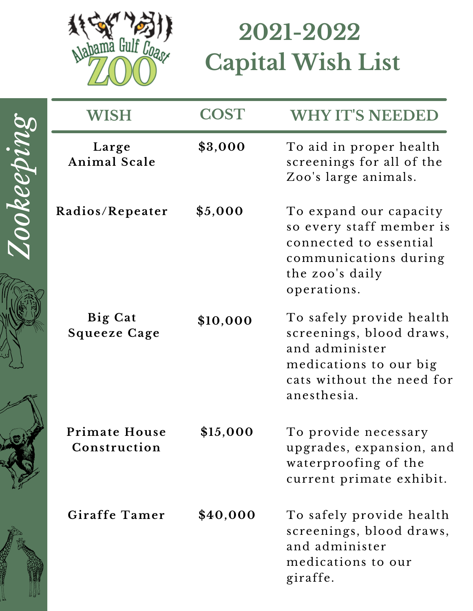

## **2021-2022 Capital Wish List**

|           | WISH                                 | <b>COST</b> | <b>WHY IT'S NEEDED</b>                                                                                                                       |
|-----------|--------------------------------------|-------------|----------------------------------------------------------------------------------------------------------------------------------------------|
| ookeeping | Large<br>Animal Scale                | \$3,000     | To aid in proper health<br>screenings for all of the<br>Zoo's large animals.                                                                 |
|           | Radios/Repeater                      | \$5,000     | To expand our capacity<br>so every staff member is<br>connected to essential<br>communications during<br>the zoo's daily<br>operations.      |
|           | Big Cat<br><b>Squeeze Cage</b>       | \$10,000    | To safely provide health<br>screenings, blood draws,<br>and administer<br>medications to our big<br>cats without the need for<br>anesthesia. |
|           | <b>Primate House</b><br>Construction | \$15,000    | To provide necessary<br>upgrades, expansion, and<br>waterproofing of the<br>current primate exhibit.                                         |
|           | Giraffe Tamer                        | \$40,000    | To safely provide health<br>screenings, blood draws,<br>and administer<br>medications to our<br>giraffe.                                     |